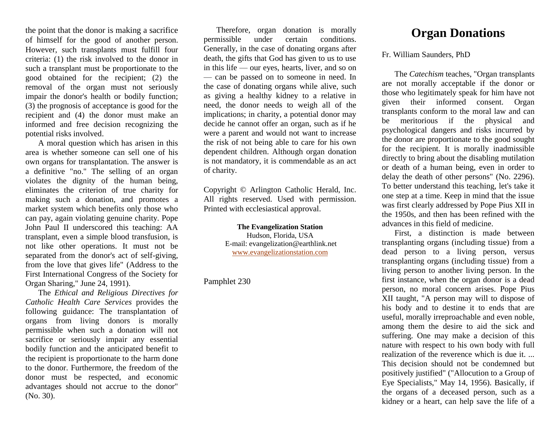the point that the donor is making a sacrifice of himself for the good of another person. However, such transplants must fulfill four criteria: (1) the risk involved to the donor in such a transplant must be proportionate to the good obtained for the recipient; (2) the removal of the organ must not seriously impair the donor's health or bodily function; (3) the prognosis of acceptance is good for the recipient and (4) the donor must make an informed and free decision recognizing the potential risks involved.

A moral question which has arisen in this area is whether someone can sell one of his own organs for transplantation. The answer is a definitive "no." The selling of an organ violates the dignity of the human being, eliminates the criterion of true charity for making such a donation, and promotes a market system which benefits only those who can pay, again violating genuine charity. Pope John Paul II underscored this teaching: AA transplant, even a simple blood transfusion, is not like other operations. It must not be separated from the donor's act of self-giving, from the love that gives life" (Address to the First International Congress of the Society for Organ Sharing," June 24, 1991).

The *Ethical and Religious Directives for Catholic Health Care Services* provides the following guidance: The transplantation of organs from living donors is morally permissible when such a donation will not sacrifice or seriously impair any essential bodily function and the anticipated benefit to the recipient is proportionate to the harm done to the donor. Furthermore, the freedom of the donor must be respected, and economic advantages should not accrue to the donor" (No. 30).

Therefore, organ donation is morally permissible under certain conditions. Generally, in the case of donating organs after death, the gifts that God has given to us to use in this life — our eyes, hearts, liver, and so on — can be passed on to someone in need. In the case of donating organs while alive, such as giving a healthy kidney to a relative in need, the donor needs to weigh all of the implications; in charity, a potential donor may decide he cannot offer an organ, such as if he were a parent and would not want to increase the risk of not being able to care for his own dependent children. Although organ donation is not mandatory, it is commendable as an act of charity.

Copyright © Arlington Catholic Herald, Inc. All rights reserved. Used with permission. Printed with ecclesiastical approval.

> **The Evangelization Station** Hudson, Florida, USA E-mail: evangelization@earthlink.net [www.evangelizationstation.com](http://www.pjpiisoe.org/)

Pamphlet 230

## **Organ Donations**

Fr. William Saunders, PhD

The *Catechism* teaches, "Organ transplants are not morally acceptable if the donor or those who legitimately speak for him have not given their informed consent. Organ transplants conform to the moral law and can be meritorious if the physical and psychological dangers and risks incurred by the donor are proportionate to the good sought for the recipient. It is morally inadmissible directly to bring about the disabling mutilation or death of a human being, even in order to delay the death of other persons" (No. 2296). To better understand this teaching, let's take it one step at a time. Keep in mind that the issue was first clearly addressed by Pope Pius XII in the 1950s, and then has been refined with the advances in this field of medicine.

First, a distinction is made between transplanting organs (including tissue) from a dead person to a living person, versus transplanting organs (including tissue) from a living person to another living person. In the first instance, when the organ donor is a dead person, no moral concern arises. Pope Pius XII taught, "A person may will to dispose of his body and to destine it to ends that are useful, morally irreproachable and even noble, among them the desire to aid the sick and suffering. One may make a decision of this nature with respect to his own body with full realization of the reverence which is due it. ... This decision should not be condemned but positively justified" ("Allocution to a Group of Eye Specialists," May 14, 1956). Basically, if the organs of a deceased person, such as a kidney or a heart, can help save the life of a